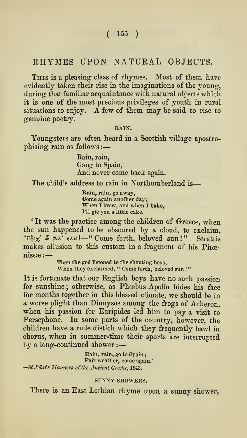# RHYMES UPON NATURAL OBJECTS.

THIS is a pleasing class of rhymes. Most of them have evidently taken their rise in the imaginations of the young, during that familiar acquaintance with natural objects which it is one of the most precious privileges of youth in rural situations to enjoy. A few of them may besaid to rise to genuine poetry.

RAIN.

Youngsters are often heard in a Scottish village apostro phising rain as follows :

> Rain, rain. Gang to Spain. And never come back again.

The child's address to rain in Northumberland is-

Rain, rain, go away, Come again another day; When <sup>I</sup> brew, and when <sup>I</sup> bake, I'll gie you a little cake.

' It was the practice among the children of Greece, when the sun happened to be obscured by a cloud, to exclaim, "E $\xi_i \chi'$   $\tilde{\omega}$   $\varphi_i \chi'$   $\eta \lambda_i s$ !  $-$ " Come forth, beloved sun!" Strattis makes allusion to this custom in a fragment of his Phœnissae :

> Then the god listened to the shouting boys. When they exclaimed, "Come forth, beloved sun!"

It is fortunate that our English boys have no such passion for sunshine ; otherwise, as Phoebus Apollo hides his face for months together in this blessed climate, we should be in <sup>a</sup> worse plight than Dionysos among the frogs of Acheron, when his passion for Euripides led him to pay a visit to Persephone. In some parts of the country, however, the children have a rude distich which they frequently bawl in chorus, when in summer-time their sports are interrupted by along-continued shower :

Rain, rain, go to Spain;<br>Fair weather, come again.' -St John's Manners of the Ancient Greeks, 1843.

#### SUNNY SHOWERS.

There is an East Lothian rhyme upon a sunny shower,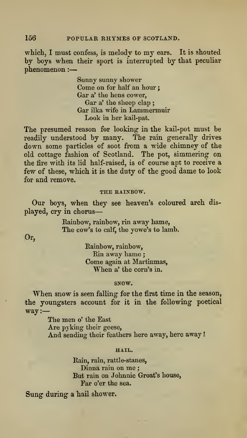which, I must confess, is melody to my ears. It is shouted by boys when their sport is interrupted by that peculiar phenomenon :

> Sunny sunny shower Come on for half an hour; Gar a' the hens cower, Gar a' the sheep clap ; Gar ilka wife in Lammermuir Look in her kail-pat.

The presumed reason for looking in the kail-pot must be readily understood by many. The rain generally drives down some particles of soot from a wide chimney of the old cottage fashion of Scotland. The pot, simmering on the fire with its lid half-raised, is of course apt to receive a few of these, which it is the duty of the good dame to look for and remove.

#### THE RAINBOW.

Our boys, when they see heaven's coloured arch dis played, cry in chorus

> Eainbow, rainbow, rin away hame, The cow's to calf, the yowe's to lamb.

Or,

Eainbow, rainbow, Rin away hame; Come again at Martinmas, When a' the corn's in.

#### SNOW.

When snow is seen falling for the first time in the season, the youngsters account for it in the following- poetical way:

> The men o' the East Are pyking their geese. And sending their feathers here away, here away!

#### HAIL.

Rain, rain, rattle-stanes, Dinna rain on me ; But rain on Johnnie Groat's house, Far o'er the sea.

Sung during a hail shower.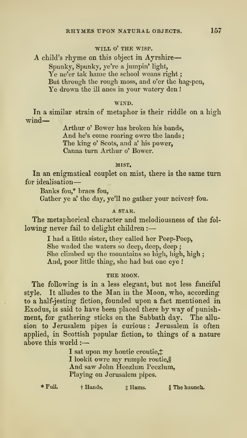# WILL O' THE WISP.

A child's rhyme on this object in Ayrshire Spunky, Spunky, ye're a jumpin' light. Ye ne'er tak hame the school weans right: But through the rough moss, and o'er the hag-pen, Ye drown the ill anes in your watery den !

#### WIND.

In a similar strain of metaphor is their riddle on a high wind—

> Arthur o' Bower has broken his bands, And he's come roaring owre the lands; The king o' Scots, and a' his power, Canna turn Arthur o' Bower.

### MIST.

In an enigmatical couplet on mist, there is the same turn for idealisation

Banks fou,\* braes fou,

Gather ye a' the day, ye'll no gather your neivest fou.

# A STAR.

The metaphorical character and melodiousness of the fol lowing never fail to delight children :

> I had a little sister, they called her Peep-Peep, She waded the waters so deep, deep, deep ; She climbed up the mountains so high, high, high ; And, poor little thing, she had but one eye !

## THE MOON.

The following is in a less elegant, but not less fanciful style. It alludes to the Man in the Moon, who, according to a half-jesting fiction, founded upon afact mentioned in Exodus, is said to have been placed there by way of punish ment, for gathering sticks on the Sabbath day. The allu sion to Jerusalem pipes is curious : Jerusalem is often applied, in Scottish popular fiction, to things of a nature above this world :

> I sat upon my houtie croutie,#<br>I lookit owre my rumple routie,\$ And saw John Heezlum Peezlum, Playing on Jerusalem pipes.

\* Full. + Hands.  $\qquad$  + Hams. § The haunch.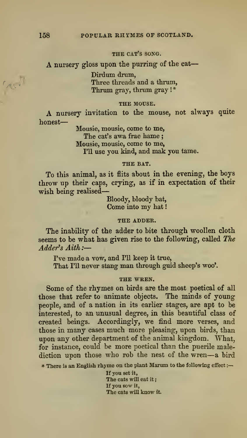# THE CAT'S SONG.

A nursery gloss upon the purring of the cat-

Dirdum drum, Three threads and a thrum, Thrum gray, thrum gray !\*

# THE MOUSE.

A nursery invitation to the mouse, not always quite honest

> Mousie, mousie, come to me, The cat's awa frae hame; Mousie, mousie, come to me, I'll use you kind, and mak you tame.

## THE BAT.

To this animal, as it flits ahout in the evening, the hoys throw up their caps, crying, as if in expectation of their wish being realised

Bloody, bloody bat, Come into my hat

#### THE ADDER.

The inability of the adder to bite through woollen cloth seems to be what has given rise to the following, called TJie — Adder's Aith:-

I've made a vow, and I'll keep it true,

That I'll never stang man through guid sheep's woo'.

#### THE WREN.

Some of the rhymes on birds are the most poetical of all those that refer to animate objects. The minds of young people, and of a nation in its earlier stages, are apt to be interested, to an unusual degree, in this beautiful class of created beings. Accordingly, we find more verses, and those in many cases much more pleasing, upon birds, than upon any other department of the animal kingdom. What, for instance, could be more poetical than the puerile malediction upon those who rob the nest of the wren—<sup>a</sup> bird

\* There is an English rhyme on the plant Marum to the following effect :-

If you set it, The cats will eat it: If you sow it, The cats will know it.

CAS. M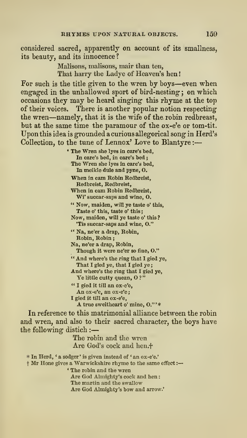considered sacred, apparently on account of its smallness, its beauty, and its innocence?

> Malisons, malisons, mair than ten, That harry the Ladye of Heaven's hen

For such is the title given to the wren by boys—even when engaged in the unhallowed sport of bird-nesting ; on which occasions they may be heard singing this rhyme at the top of their voices. There is another popular notion respecting the wren-namely, that it is the wife of the robin redbreast, but at the same time the paramour of the ox-e'e or tom-tit. Upon this idea is grounded acurious allegorical song in Herd's Collection, to the tune of Lennox' Love to Blantyre :

> \* The Wren she lyes in care's bed. In care's bed, in care's bed ; The Wren she lyes in care's bed, In meikle dule and pyne, O. When in cam Robin Redbreist, Redbreist, Redbreist, When in cam Robin Redbreist, Wi' suecar-saps and wine, O, " Now, maiden, will ye taste o' this. Taste o' this, taste o' this; Now, maiden, will ye taste o' this ?'Tis succar-saps and wine, O." " Na, ne'er a drap, Robin, Robin, Robin Na, ne'er a drap, Robin, Though it were ne'er so fine, O." " And Where's the ring that <sup>I</sup> gied ye, That I gied ye, that I gied ye;

And Where's the ring that <sup>I</sup> gied ye. Ye little cutty quean, O?'

" <sup>I</sup> gied it till an ox-e'e. An ox-e'e, an ox-e'e;<br>I gied it till an ox-e'e,

A true sweitheart o' mine, O." ' \*

In reference to this matrimonial alliance between the robin and wren, and also to their sacred character, the boys have the following distich :

> The robin and the wren Are God's cock and hen.<sup>+</sup>

\* In Herd, ' a sodger ' is given instead of ' an ox-e'e.'

<sup>t</sup> Mr Hone gives <sup>a</sup> Warwickshire rhyme to the same effect :

\* The robin and the wren

Are God Almighty's cock and hen

The martin and the swallow

Are God Almighty's bow and arrow.'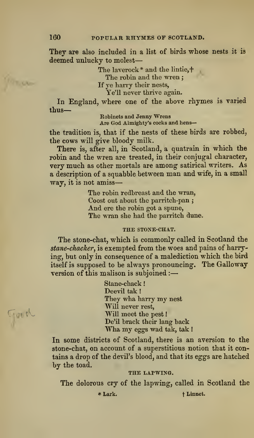They are also included in a list of birds whose nests it is deemed unlucky to molest

The laverock\* and the lintie,+

The robin and the wren:

If ye harry their nests,

Ye'll never thrive again.

In England, where one of the above rhymes is varied thus

Robinets and Jenny Wrens Are God Almighty's cocks and hens—

the tradition is, that if the nests of these birds are robbed, the cows will give bloody milk.

There is, after all, in Scotland, a quatrain in which the robin and the wren are treated, in their conjugal character, very much as other mortals are among satirical writers. As a description of <sup>a</sup> squabble between man and wife, in <sup>a</sup> small way, it is not amiss

> The robin redbreast and the wran, Coost out about the parritch-pan ; And ere the robin got a spune, The wran she had the parritch dime.

## THE STOXE-CHAT.

The stone-chat, which is commonly called in Scotland the stane-chacker, is exempted from the woes and pains of harrying, but only in consequence of a malediction which the bird itself is supposed to be always pronouncing. The Galloway version of this malison is subjoined :

> Stane-chack Deevil tak !They wha harry my nest Will never rest, Will meet the pest! De'il brack their lang back Wha my eggs wad tak, tak !

In some districts of Scotland, there is an aversion to the stone-chat, on account of a superstitious notion that it contains a drop of the devil's blood, and that its eggs are hatched by the toad.

#### THE LAPWING.

The dolorous cry of the lapwing, called in Scotland the

\* Lark. the transfer that the term is the term of the term in the term in the term is the term in the term in the term in the term in the term is the term in the term in the term in the term in the term is the term in the

Treed

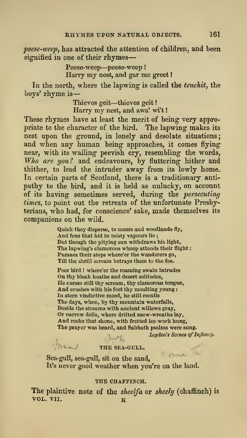peese-weep, has attracted the attention of children, and been signified in one of their rhymes-

> Peese-weep—peese-weep Harry my nest, and gar me greet

In the north, where the lapwing- is called the teuchit, the boys' rhyme is

> Thieves geit—thieves geit! Harry my nest, and awa' wi't!

These rhymes have at least the merit of being very appropriate to the character of the bird. The lapwing makes itsnest upon the ground, in lonely and desolate situations; and when any human being approaches, it comes flying near, with its wailing peevish cry, resembling the words, Who are you? and endeavours, by fluttering hither and thither, to lead the intruder away from its lowly home. In certain parts of Scotland, there is a traditionary anti pathy to the bird, and it is held as unlucky, on account of its having sometimes served, during the *persecuting*<br>times, to point out the retreats of the unfortunate Presbyterians, who had, for conscience' sake, made themselves its companions on the wild.

> Quick they disperse, to moors and woodlands fly, And fens that hid in misty vapours lie ; But though the pitying sun withdraws his light, The lapwing's clamorous whoop attends their flight : Pursues their steps where'er the wanderers go, Till the shrill scream betrays them to the foe.

Poor bird ! where'er the roaming swain intrudes On thy bleak heaths and desert solitudes. He curses still thy scream, thy clamorous tongue. And crushes with his foot thy moulting young: In stern vindictive mood, he still recalls The days, when, by thy mountain waterfalls, Beside the streams with ancient willows gray. Or narrow dells, where drifted snow-wreaths lay. And rocks that shone, with fretted ice-work hung, The prayer was heard, and Sabbath psalms were sung.

Leyden's Scenes of Infancy.

# lenth.  $\sqrt{\hbar \omega}$  THE SEA-GULL.

Sea-gull, sea-gull, sit on the sand, It's never good weather when you're on the land.

#### THE CHAFFINCH.

The plaintive note of the *sheelfa* or *sheely* (chaffinch) is vol. VII.  $\kappa$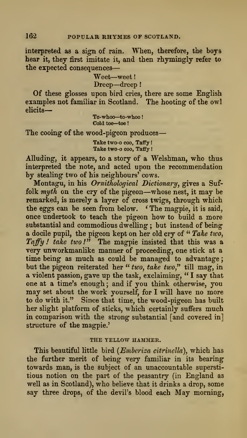interpreted as a sign of rain. When, therefore, the boys hear it, they first imitate it, and then rhymingly refer to the expected consequences-

Weet—weet

Dreep—dreep!

Of these glosses upon bird cries, there are some English examples not familiar in Scotland. The hooting of the owl elicits

To-whoo—to-whoo Cold toe-toe!

The cooing of the wood-pigeon produces

Take two-o coo, Taffy! Take two-o coo, Taffy !

Alluding, it appears, to a story of a Welshman, who thus interpreted the note, and acted upon the recommendation by stealing two of his neighbours' cows.

Montagu, in his Ornithological Dictionary, gives a Suffolk myth on the cry of the pigeon—whose nest, it may be remarked, is merely a layer of cross twigs, through which the eggs can be seen from below. ' The magpie, it is said, once undertook to teach the pigeon how to build a more substantial and commodious dwelling ; but instead of being a docile pupil, the pigeon kept on her old cry of " Take two, Taffy ! take two !" The magpie insisted that this was a very unworkmanlike manner of proceeding, one stick at a time being as much as could be managed to advantage; but the pigeon reiterated her " two, take two," till mag, in a violent passion, gave up the task, exclaiming, " <sup>I</sup> say that one at a time's enough; and if you think otherwise, you may set about the work yourself, for <sup>I</sup> will have no more to do with it." Since that time, the wood-pigeon has built her slight platform of sticks, which certainly suffers much in comparison with the strong substantial [and covered in] structure of the magpie.'

### THE YELLOW HAMMER.

This beautiful little bird (Emberiza citrinella), which has the further merit of being very familiar in its bearing towards man, is the subject of an unaccountable supersti tious notion on the part of the peasantry (in England as well as in Scotland), who believe that it drinks a drop, some say three drops, of the devil's blood each May morning,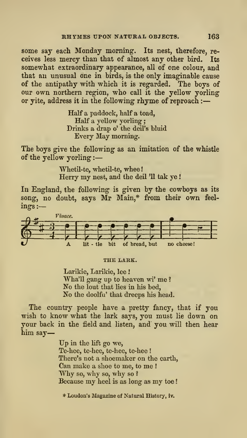some say each Monday morning. Its nest, therefore, receives less mercy than that of almost any other bird. Its somewhat extraordinary appearance, all of one colour, and that an unusual one in birds, is the only imaginable cause of the antipathy with which it is regarded. The boys of our own northern region, who call it the yellow yorling or yite, address it in the following rhyme of reproach :

> Half a paddock, half a toad, Half a yellow yorling Drinks a drap o' the deil's bluid Every May morning.

The boys give the following as an imitation of the whistle of the yellow yorling :

> Whetil-te, whetil-te, whee Horry my nest, and the deil '11 tak ye !

In England, the following is given by the cowboys as its song, no doubt, says Mr Main,\* from their own feel ings :—



#### THE LARK.

Larikie, Larikie, lee Wha'll gang up to heaven wi' me ? No the lout that lies in his bed, No the doolfu' that dreeps his head.

The country people have a pretty fancy, that if you wish to know what the lark says, you must lie down on your back in the field and listen, and you will then hear him say

> Up in the lift go we, Te-hee, te-hee, te-hee, te-hee ! There's not a shoemaker on the earth, Can make <sup>a</sup> shoe to me, to me ! Why so, why so, why so ? Because my heel is as long as my toe

\* Loudon's Magazine of Natural History, iv.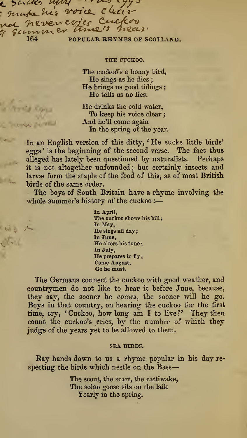$\sim$  sacks now and  $\sim$ make his voice clear nel never crites Cuckov 7 SECTUATE OF THE POPULAR RHYMES OF SCOTLAND.

> •^ 'X^:"

**Call** 

#### THE CUCKOO.

. .

The cuckoo's a bonny bird, He sings as he flies ; He brings us good tidings ; He tells us no lies.

He drinks the cold water,<br>To keep his voice clear; And he'll come again In the spring of the year.

In an English version of this ditty, ' He sucks little birds' eggs' is the beginning of the second verse. The fact thus alleged has lately been questioned by naturalists. Perhaps it is not altogether unfounded; but certainly insects and larvæ form the staple of the food of this, as of most British birds of the same order.

The boys of South Britain have a rhyme involving the whole summer's history of the cuckoo :

> In April, The cuckoo shows his bill; In May, He sings all day; In June, He alters his tune; In July, He prepares to fly; Come August, Go he must.

The Germans connect the cuckoo with good weather, and countrymen do not like to hear it before June, because, they say, the sooner he comes, the sooner will he go. Boys in that country, on hearing the cuckoo for the first time, cry, 'Cuckoo, how long am I to live?' They then count the cuckoo's cries, by the number of which they judge of the years yet to be allowed to them.

#### SEA BIRDS.

Ray hands down to us a rhyme popular in his day respecting the birds which nestle on the Bass

> The scout, the scart, the cattiwake, The solan goose sits on the laik Yearly in the spring.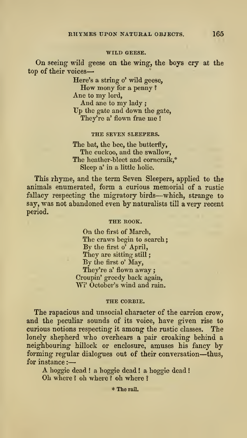#### WILD GEESE.

On seeing wild geese on the wing, the boys cry at the top of their voices

> Here's <sup>a</sup> string o' wild geese, How mony for <sup>a</sup> penny ? Ane to my lord,<br>And ane to my lady : Up the gate and down the gate, They're a' flown frae me !

### THE SEVEN SLEEPERS.

The bat, the bee, the butterfly. The cuckoo, and the swallow, The heather-bleet and corncraik,\* Sleep a'in a little holie.

This rhyme, and the term Seven Sleepers, applied to the animals enumerated, form a curious memorial of a rustic fallacy respecting the migratory birds—which, strange to say, was not abandoned even by naturalists till a very recent period.

## THE ROOK.

On the first of March, The craws begin to search; By the first o' April, They are sitting still: By the first o' May, They're a' flown away ; Croupin' greedy back again, Wi' October's wind and rain.

#### THE CORBIE.

The rapacious and unsocial character of the carrion crow, and the peculiar sounds of its voice, have given rise to curious notions respecting it among the rustic classes. The lonely shepherd who overhears a pair croaking behind a neighbouring hillock or enclosure, amuses his fancy by forming regular dialogues out of their conversation—thus, for instance :

A hoggie dead ! <sup>a</sup> hoggie dead ! <sup>a</sup> hoggie dead Oh where ? oh where ? oh where ?

\* The rail.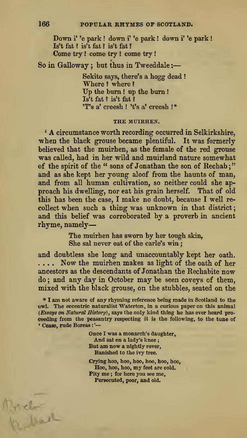Down i' 'e park ! down i' 'e park ! down i' 'e park Is't fat ? is't fat ? is't fat ? Come try ! come try ! come try !

So in Galloway ; but thus in Tweeddale :

Sekito says, there's a hogg dead ! Where ? where ? Up the bum ! up the bum Is't fat ? is't fat ? 'T's a' creesh ! 't's a' creesh  $!$ \*

#### THE MUIRHEN.

\* A circumstance worth recording occurred in Selkirkshire, when the black grouse became plentiful. It was formerly believed that the muirhen, as the female of the red grouse was called, had in her wild and muirland nature somewhat of the spirit of the " sons of Jonathan the son of Rechab;" and as she kept her young aloof from the haunts of man, and from all human cultivation, so neither could she ap proach his dwelling, nor eat his grain herself. That of old this has been the case, <sup>I</sup> make no doubt, because <sup>I</sup> well re collect when such a thing was unknown in that district; and this belief was corroborated by a proverb in ancient rhyme, namely

> The muirhen has sworn by her tough skin, She sal never eat of the carle's win;

and doubtless she long and unaccountably kept her oath. .... Now the muirhen makes as light of the oath of her ancestors as the descendants of Jonathan the Rechabite now do; and any day in October may be seen coveys of them, mixed with the black grouse, on the stubbles, seated on the

\* I am not aware of any rhyming reference being made in Scotland to the owl. The eccentric naturalist Waterton, in a curious paper on this animal (Essays on Natural History), says the only kind thing he has ever heard pro ceeding from the peasantry respecting it is the following, to the time of • Cease, rude Boreas : '—

> Once I was a monarch's daughter. And saton a lady's knee ; But am now a nightly rover, Banished to the ivy tree.

Crying hoo, hoo, hoo, hoo, hoo, hoo, Hoo, hoo, hoo, my feet are cold. Pity me ; for here you see me. Persecuted, poor, and old.

 $M$  details >\*/-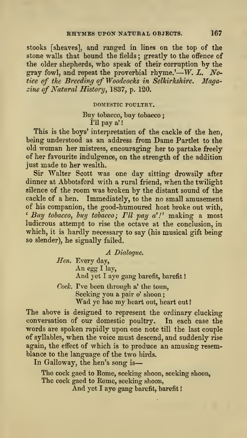stooks [sheaves], and ranged in lines on the top of the stone walls that bound the fields; greatly to the offence of the older shepherds, who speak of their corruption by the gray fowl, and repeat the proverbial rhyme.'—W. L. Notice of the Breeding of Woodcocks in Selkirkshire. Magazine of Natural History, 1837, p. 120.

DOMESTIC POULTRY.

Buy tobacco, buy tobacco I'll pay a'

This is the boys' interpretation of the cackle of the hen, being understood as an address from Dame Partlet to the old woman her mistress, encouraging her to partake freely of her favourite indulgence, on the strength of the addition just made to her wealth.

Sir Walter Scott was one day sitting drowsily after dinner at Abbotsford with a rural friend, when the twilight silence of the room was broken by the distant sound of the cackle of a hen. Immediately, to the no small amusement of his companion, the good-humoured host broke out with,  $^{\epsilon}$  Buy tobacco, buy tobacco;  ${I\!U}$  pay a'!' making a most ludicrous attempt to rise the octave at the conclusion, in which, it is hardly necessary to say (his musical gift being so slender), he signally failed.

A Dialogue.

Hen. Every day, An egg <sup>I</sup> lay, And yet I aye gang barefit, barefit!

Cock. I've been through  $a'$  the toun, Seeking you a pair o' shoon; Wad ye hae my heart out, heart out?

The above is designed to represent the ordinary clucking conversation of our domestic poultiy. In each case the words are spoken rapidly upon one note till the last couple of syllables, when the voice must descend, and suddenly rise again, the effect of which is to produce an amusing resemblance to the language of the two birds.

In Galloway, the hen's song is

The cock gaed to Rome, seeking shoon, seeking shoon. The cock gaed to Rome, seeking shoon, And yet I aye gang barefit, barefit!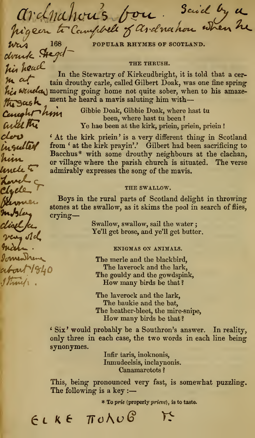archmations for Said by a

POPULAR RHYMES OF SCOTLAND.  $w_{\text{true}}$  168 POPULAR RHYMES OF

THE THRUSH.<br>In the Stewartry of Kirkcudbright, it is told that a cer- $\mu$  a cer-<br> $\mu$  in the Stewartry of Kirkcudorigins, it is tond that a cer-<br> $\mu$ , was one fine spring morning going home not quite sober, when to his amaze $m_3$  ccs  $k$  ment he heard a mavis saluting him with—

der Insulted him lancte to unch-c Lyele

very old Indep <u> Immendrem</u> about 1840 1 Franck

 $\frac{1}{\text{Complex}}\text{MyM}$  Gibbie Doak, Gibbie Doak, where hast tu been ?<br>  $\frac{1}{\text{Complex}}\text{MyR}$   $\frac{1}{\text{Complex}}\text{Ye}$  has been at the kirk, priein, priein, pr Ye hae been at the kirk, priein, priein, prieia !

> \* At the kirk priein ' is a very different thing in Scotland from ' at the kirk prayin'.' Gilbert had been sacrificing to Bacchus\* with some drouthy neighbours at the clachan, or village where the parish church is situated. The verse admirably expresses the song of the mavis.

#### THE SWALLOW,

Boys in the rural parts of Scotland delight in throwing stones at the swallow, as it skims the pool in search of flies, crying-

> Swallow, swallow, sail the water ; Ye'U get brose, and ye'U get butter.

#### ENIGMAS ON ANIMALS.

The merle and the blackbird. The laverock and the lark. The gouldy and the gowdspink, How many birds be that ?

The laverock and the lark, The baukie and the bat. The heather-bleet, the mire-snipe, How many birds be that ?

' Six ' would probably be a Southron's answer. In reality, only three in each case, the two words in each line being synonymes.

> Infir taris, inoknonis, Inmudeelsis, inclaynonis. Canamaretots ?

This, being pronounced very fast, is somewhat puzzling. The following is a key :-

\* To prie (properly prieve), is to taste.

 $6L$  K  $6L$   $R_0$   $R_1$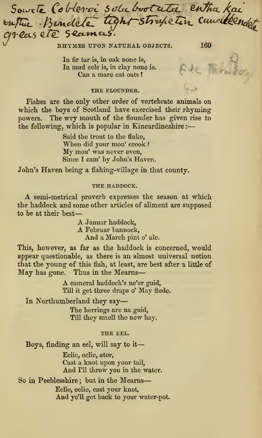PECS CIE Secunces.<br>RHYMES UPON NATURAL OBJECTS. 169  $\sim$   $\sim$   $\sim$   $\sim$   $\sim$   $\sim$   $\sim$   $\sim$ 

In fir tar is, in oak none is, In mud eels is, in clay none is. Can a mare eat oats?

## THE FLOUNDER.

Fishes are the only other order of vertebrate animals on which the boys of Scotland have exercised their rhymingpowers. The wry mouth of the flounder has given rise to the following, which is popular in Kincardineshire :-

> Said the trout to the fluke,<br>When did your mou' crook? My mou' was never even, Since I cam' by John's Haven.

John's Haven being a fishing-village in that county.

#### THE HADDOCK.

A semi-metrical proverb expresses the season at which the haddock and some other articles of aliment are supposed to be at their best—

A Januar haddock,<br>A Februar bannock,<br>And a March pint o' ale.

This, however, as far as the haddock is concerned, would appear questionable, as there is an almost universal notion that the young of this fish, at least, are best after a little of May has gone. Thus in the Mearns

> A cameral haddock's ne'er guid, Till it get three draps o' May flude.

In Northumberland they say

The herrings are na guid, Till they smell the new hay.

## THE EEL.

Boys, finding an eel, will say to it

Eelie, eelie, ator, Cast a knot upon your tail, And I'll throw you in the water.

So in Peeblesshire ; but in the Mearns

Eelie, eelie, cast your knot. And ye'U get back to your water-pot.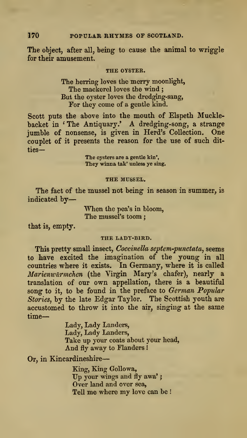# 170 POPULAR RHYMES OF SCOTLAND.

The object, after all, being to cause the animal to wriggle for their amusement.

#### THE OYSTER.

The herring loves the merry moonlight, The mackerel loves the wind ; But the oyster loves the dredging-sang, For they come of a gentle kind.

Scott puts the above into the mouth of Elspeth Mucklebacket in ' The Antiquary.' A dredging-song, <sup>a</sup> strange jumble of nonsense, is given in Herd's Collection. One couplet of it presents the reason for the use of such dit ties—

> The oysters are a gentle kin'. They winna tak' unless ye sing.

#### THE MUSSEL.

The fact of the mussel not being in season in summer, is indicated by—

> When the pea's in bloom, The mussel's toom

that is, empty.

#### THE LADY-BIRD.

This pretty small insect, Coccinella septem-punctata, seems to have excited the imagination of the young in all countries where it exists. In Germany, where it is called Marienwurmchen (the Virgin Mary's chafer), nearly a translation of our own appellation, there is a beautiful song to it, to be found in the preface to German Popular Stories, by the late Edgar Taylor. The Scottish youth are accustomed to throw it into the air, singing at the same time

> Lady, Lady Landers, Lady, Lady Landers, Take up your coats about your head, And fly away to Flanders !

Or, in Kincardineshire

King, King Gollowa, Up your wings and fly awa'; Over land and over sea, Tell me where my love can be !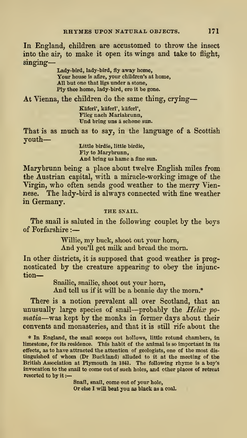In England, children are accustomed to throw the insect into the air, to make it open its wings and take to flight, singing-

> Lady-bird, lady-bird, fly away home, Your house is afire, your children's at home, All but one that ligs under a stone, Ply thee home, lady-bird, ere it be gone.

At Vienna, the children do the same thing, crying

Käferl', käferl', käferl', Flieg nach Mariabrunn, Und bring uns ä schone sun.

That is as much as to say, in the language of a Scottish youth

Little birdie, little birdie. Fly to Marybrunn, And bring us hame a fine sun.

Marybrunn being a place about twelve English miles from the Austrian capital, with a miracle-working image of the Virgin, who often sends good weather to the merry Viennese. The lady-bird is always connected with fine weather in Germany.

# THE SNAIL.

The snail is saluted in the following couplet by the boys of Forfarshire :

> Willie, my buck, shoot out your horn, And you'll get milk and bread the morn.

In other districts, it is supposed that good weather is prognosticated by the creature appearing to obey the injunction

Snailie, snailie, shoot out your horn,

And tell us if it will be a bonnie day the morn.\*

There is a notion prevalent all over Scotland, that an unusually large species of snail—probably the  $Helix$  po-<br>matia—was kept by the monks in former days about their convents and monasteries, and that it is still rife about the

\* In England, the snail scoops out hollows, little rotund chambers, in limestone, for its residence. This habit of the animal is so important in its effects, as to have attracted the attention of geologists, one of the most dis tinguished of whom (Dr Buckland) alluded to it at the meeting of the British Association at Plymouth in 1841. The following rhyme is a boy's invocation to the snail to come out of such holes, and other places of retreat resorted to by it :—

Snail, snail, come out of your hole, Or else <sup>I</sup> will beat you as black as a coal.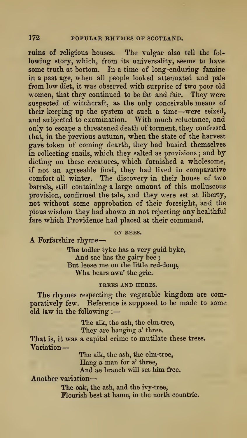ruins of religious houses. The vulgar also tell the fol lowing-story, which, from its universality, seems to have some truth at bottom. In a time of long-enduring famine in a past age, when all people looked attenuated and pale from low diet, it was observed with surprise of two poor old women, that they continued to be fat and fair. They were suspected of witchcraft, as the only conceivable means of their keeping up the system at such <sup>a</sup> time—were seized, and subjected to examination. With much reluctance, and only to escape a threatened death of torment, they confessed that, in the previous autumn, when the state of the harvest gave token of coming dearth, they had busied themselves in collecting snails, which they salted as provisions ; and by dieting on these creatures, which furnished a wholesome, if not an agreeable food, they had lived in comparative comfort all winter. The discovery in their house of two barrels, still containing a large amount of this molluscous provision, confirmed the tale, and they were set at liberty, not without some approbation of their foresight, and the pious wisdom they had shown in not rejecting any healthful fare which Providence had placed at their command.

ON BEES.<br>A Forfarshire rhyme-

The todler tyke has a very guid byke. And sae has the gairy bee ; But leese me on the little red-doup, Wha bears awa' the grie.

#### TREES AND HERBS.

The rhymes respecting the vegetable kingdom are comparatively few. Reference is supposed to be made to some old law in the following :

> The aik, the ash, the elm-tree, They are hangiug a' three.

That is, it was a capital crime to mutilate these trees. Variation

> The aik, the ash, the elm-tree, Hang a man for a' three, And ae branch will set him free.

Another variation

The oak, the ash, and the ivy-tree. Flourish best at hame, in the north countrie.